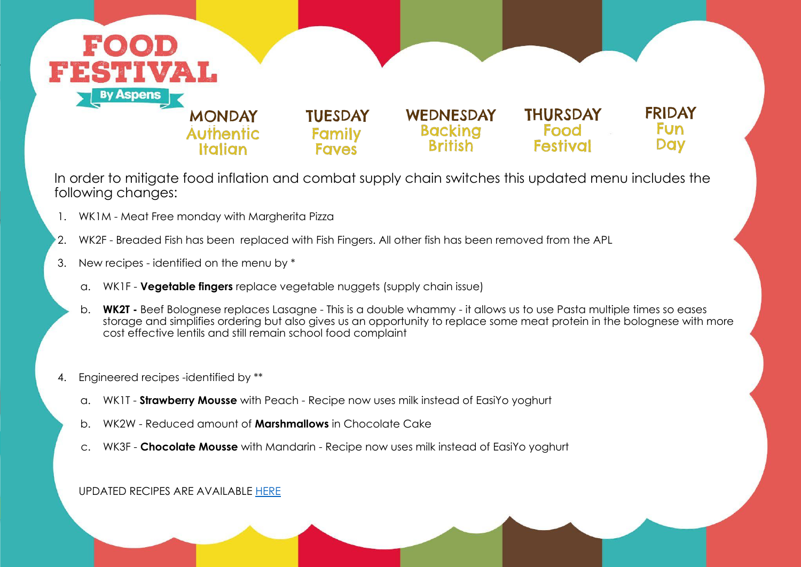

In order to mitigate food inflation and combat supply chain switches this updated menu includes the following changes:

- 1. WK1M Meat Free monday with Margherita Pizza
- 2. WK2F Breaded Fish has been replaced with Fish Fingers. All other fish has been removed from the APL
- 3. New recipes identified on the menu by \*
	- a. WK1F **Vegetable fingers** replace vegetable nuggets (supply chain issue)
	- b. **WK2T** Beef Bolognese replaces Lasagne This is a double whammy it allows us to use Pasta multiple times so eases storage and simplifies ordering but also gives us an opportunity to replace some meat protein in the bolognese with more cost effective lentils and still remain school food complaint
- 4. Engineered recipes -identified by \*\*
	- a. WK1T **Strawberry Mousse** with Peach Recipe now uses milk instead of EasiYo yoghurt
	- b. WK2W Reduced amount of **Marshmallows** in Chocolate Cake
	- c. WK3F **Chocolate Mousse** with Mandarin Recipe now uses milk instead of EasiYo yoghurt

UPDATED RECIPES ARE AVAILABLE [HERE](https://www.google.com/url?q=https://drive.google.com/drive/folders/1VOpoU8XzffZ9hXzvqgXUk6jLa_eIPUtL&sa=D&source=editors&ust=1650891990755126&usg=AOvVaw0KUrTRat49vcIns9WIxkun)

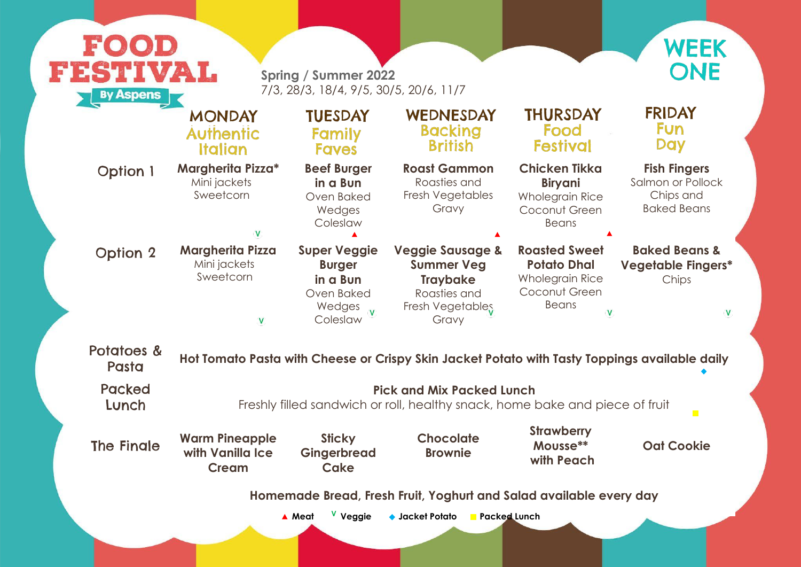#### **Fish Fingers**

Salmon or Pollock Chips and Baked Beans

#### **Baked Beans & Vegetable Fingers\*** Chips

 $\overline{\mathsf{V}}$ 

| FOOD<br>FESTIVAL                                            |                                                                                                       | <b>Spring / Summer 2022</b><br>7/3, 28/3, 18/4, 9/5, 30/5, 20/6, 11/7                |                                                                                                                  |                                                                                                       |  |  |  |
|-------------------------------------------------------------|-------------------------------------------------------------------------------------------------------|--------------------------------------------------------------------------------------|------------------------------------------------------------------------------------------------------------------|-------------------------------------------------------------------------------------------------------|--|--|--|
| <b>By Aspens</b>                                            | <b>MONDAY</b><br><b>Authentic</b><br><b>Italian</b>                                                   | <b>TUESDAY</b><br><b>Family</b><br><b>Faves</b>                                      | WEDNESDAY<br><b>Backing</b><br><b>British</b>                                                                    | <b>THURSDAY</b><br>Food<br><b>Festival</b>                                                            |  |  |  |
| <b>Option 1</b>                                             | <b>Margherita Pizza*</b><br>Mini jackets<br>Sweetcorn                                                 | <b>Beef Burger</b><br>in a Bun<br>Oven Baked<br>Wedges<br>Coleslaw                   | <b>Roast Gammon</b><br>Roasties and<br><b>Fresh Vegetables</b><br>Gravy                                          | <b>Chicken Tikka</b><br><b>Biryani</b><br><b>Wholegrain Rice</b><br>Coconut Green<br><b>Beans</b>     |  |  |  |
| <b>Option 2</b>                                             | <b>Margherita Pizza</b><br>Mini jackets<br>Sweetcorn<br>$\mathbf{V}$                                  | <b>Super Veggie</b><br><b>Burger</b><br>in a Bun<br>Oven Baked<br>Wedges<br>Coleslaw | <b>Veggie Sausage &amp;</b><br><b>Summer Veg</b><br><b>Traybake</b><br>Roasties and<br>Fresh Vegetables<br>Gravy | <b>Roasted Sweet</b><br><b>Potato Dhal</b><br><b>Wholegrain Rice</b><br>Coconut Green<br><b>Beans</b> |  |  |  |
| Potatoes &<br>Pasta                                         | Hot Tomato Pasta with Cheese or Crispy Skin Jacket Potato with Tasty Topp                             |                                                                                      |                                                                                                                  |                                                                                                       |  |  |  |
| <b>Packed</b><br>Lunch                                      | <b>Pick and Mix Packed Lunch</b><br>Freshly filled sandwich or roll, healthy snack, home bake and pie |                                                                                      |                                                                                                                  |                                                                                                       |  |  |  |
| <b>The Finale</b>                                           | <b>Warm Pineapple</b><br>with Vanilla Ice<br><b>Cream</b>                                             | <b>Sticky</b><br><b>Gingerbread</b><br>Cake                                          | <b>Chocolate</b><br><b>Brownie</b>                                                                               | <b>Strawberry</b><br>Mousse**<br>with Peach                                                           |  |  |  |
| Homemade Bread, Fresh Fruit, Yoghurt and Salad available ev |                                                                                                       |                                                                                      |                                                                                                                  |                                                                                                       |  |  |  |
|                                                             |                                                                                                       | V Veggie<br>▲ Meat                                                                   | $\blacklozenge$ Jacket Potato<br><b>Packed Lunch</b>                                                             |                                                                                                       |  |  |  |



# **FRIDAY Fun** Day

# Pasta **Hot Tomato Pasta with Cheese or Crispy Skin Jacket Potato with Tasty Toppings available daily**

ece of fruit

**Oat Cookie**

 $\overline{\phantom{a}}$ 

rery day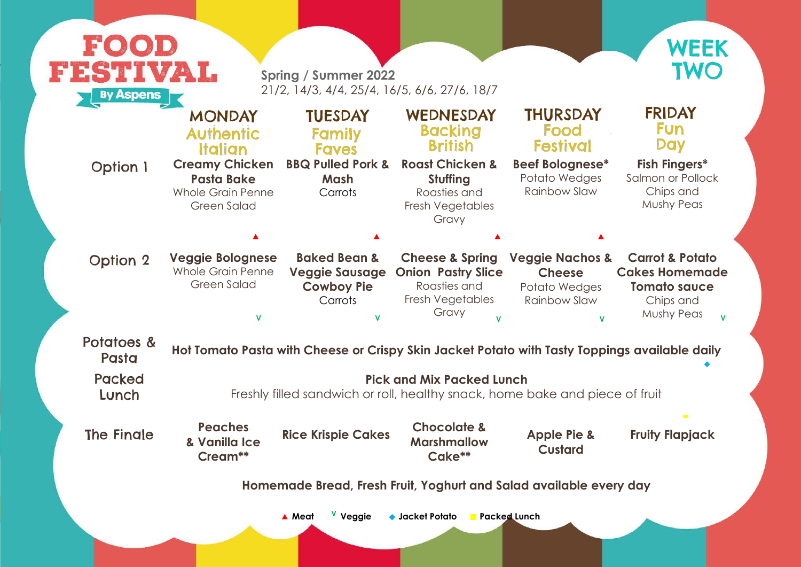|                                                                    | $\textbf{F}(\textbf{O}(\textbf{O})\textbf{D})$<br>FESTIVAL<br><b>By Aspens</b>                                       |                                                                                                                  | <b>Spring / Summer 2022</b><br>21/2, 14/3, 4/4, 25/4, 16/5, 6/6, 27/6, 18/7      |                                                                                                      |                                                                                     | <b>WEEK</b><br>TWO                                                                                           |  |
|--------------------------------------------------------------------|----------------------------------------------------------------------------------------------------------------------|------------------------------------------------------------------------------------------------------------------|----------------------------------------------------------------------------------|------------------------------------------------------------------------------------------------------|-------------------------------------------------------------------------------------|--------------------------------------------------------------------------------------------------------------|--|
|                                                                    |                                                                                                                      | <b>MONDAY</b><br><b>Authentic</b><br><b>Italian</b>                                                              | <b>TUESDAY</b><br>Family<br><b>Faves</b>                                         | WEDNESDAY<br><b>Backing</b><br><b>British</b>                                                        | <b>THURSDAY</b><br>Food<br><b>Festival</b>                                          | <b>FRIDAY</b><br><b>Fun</b><br><b>Day</b>                                                                    |  |
|                                                                    | <b>Option 1</b>                                                                                                      | <b>Creamy Chicken</b><br><b>Pasta Bake</b><br><b>Whole Grain Penne</b><br><b>Green Salad</b>                     | <b>BBQ Pulled Pork &amp;</b><br><b>Mash</b><br>Carrots                           | <b>Roast Chicken &amp;</b><br>Stuffing<br>Roasties and<br><b>Fresh Vegetables</b><br>Gravy           | <b>Beef Bolognese*</b><br>Potato Wedges<br><b>Rainbow Slaw</b>                      | <b>Fish Fingers*</b><br>Salmon or Pollock<br>Chips and<br><b>Mushy Peas</b>                                  |  |
|                                                                    |                                                                                                                      |                                                                                                                  |                                                                                  |                                                                                                      |                                                                                     |                                                                                                              |  |
|                                                                    | <b>Option 2</b>                                                                                                      | <b>Veggie Bolognese</b><br><b>Whole Grain Penne</b><br><b>Green Salad</b>                                        | <b>Baked Bean &amp;</b><br><b>Veggie Sausage</b><br><b>Cowboy Pie</b><br>Carrots | <b>Cheese &amp; Spring</b><br><b>Onion Pastry Slice</b><br>Roasties and<br>Fresh Vegetables<br>Gravy | <b>Veggie Nachos &amp;</b><br><b>Cheese</b><br>Potato Wedges<br><b>Rainbow Slaw</b> | <b>Carrot &amp; Potato</b><br><b>Cakes Homemade</b><br><b>Tomato sauce</b><br>Chips and<br><b>Mushy Peas</b> |  |
|                                                                    | Potatoes &<br>Hot Tomato Pasta with Cheese or Crispy Skin Jacket Potato with Tasty Toppings available daily<br>Pasta |                                                                                                                  |                                                                                  |                                                                                                      |                                                                                     |                                                                                                              |  |
|                                                                    | <b>Packed</b><br>Lunch                                                                                               | <b>Pick and Mix Packed Lunch</b><br>Freshly filled sandwich or roll, healthy snack, home bake and piece of fruit |                                                                                  |                                                                                                      |                                                                                     |                                                                                                              |  |
|                                                                    | <b>The Finale</b>                                                                                                    | <b>Peaches</b><br>& Vanilla Ice<br>Cream**                                                                       | <b>Rice Krispie Cakes</b>                                                        | <b>Chocolate &amp;</b><br><b>Marshmallow</b><br>Cake**                                               | <b>Apple Pie &amp;</b><br><b>Custard</b>                                            | $\overline{\phantom{a}}$<br><b>Fruity Flapjack</b>                                                           |  |
| Homemade Bread, Fresh Fruit, Yoghurt and Salad available every day |                                                                                                                      |                                                                                                                  |                                                                                  |                                                                                                      |                                                                                     |                                                                                                              |  |
|                                                                    |                                                                                                                      |                                                                                                                  | V Veggie<br>▲ Meat                                                               | $\bullet$ Jacket Potato                                                                              | <b>Packed Lunch</b>                                                                 |                                                                                                              |  |